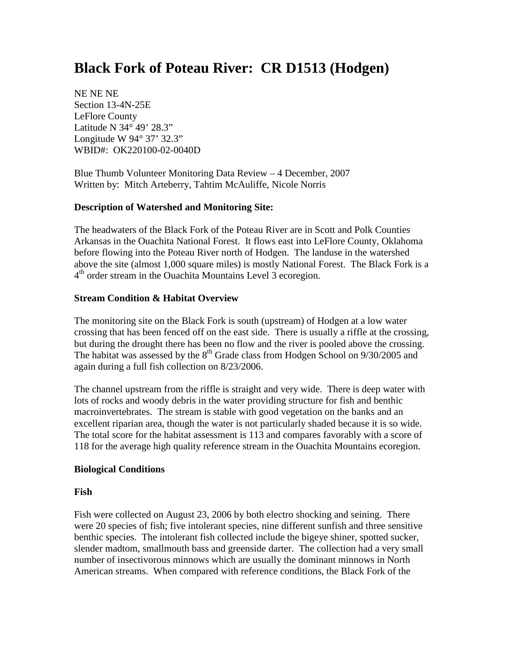# **Black Fork of Poteau River: CR D1513 (Hodgen)**

NE NE NE Section 13-4N-25E LeFlore County Latitude N 34° 49' 28.3" Longitude W 94° 37' 32.3" WBID#: OK220100-02-0040D

Blue Thumb Volunteer Monitoring Data Review – 4 December, 2007 Written by: Mitch Arteberry, Tahtim McAuliffe, Nicole Norris

#### **Description of Watershed and Monitoring Site:**

The headwaters of the Black Fork of the Poteau River are in Scott and Polk Counties Arkansas in the Ouachita National Forest. It flows east into LeFlore County, Oklahoma before flowing into the Poteau River north of Hodgen. The landuse in the watershed above the site (almost 1,000 square miles) is mostly National Forest. The Black Fork is a  $4<sup>th</sup>$  order stream in the Ouachita Mountains Level 3 ecoregion.

#### **Stream Condition & Habitat Overview**

The monitoring site on the Black Fork is south (upstream) of Hodgen at a low water crossing that has been fenced off on the east side. There is usually a riffle at the crossing, but during the drought there has been no flow and the river is pooled above the crossing. The habitat was assessed by the  $8<sup>th</sup>$  Grade class from Hodgen School on 9/30/2005 and again during a full fish collection on 8/23/2006.

The channel upstream from the riffle is straight and very wide. There is deep water with lots of rocks and woody debris in the water providing structure for fish and benthic macroinvertebrates. The stream is stable with good vegetation on the banks and an excellent riparian area, though the water is not particularly shaded because it is so wide. The total score for the habitat assessment is 113 and compares favorably with a score of 118 for the average high quality reference stream in the Ouachita Mountains ecoregion.

#### **Biological Conditions**

#### **Fish**

Fish were collected on August 23, 2006 by both electro shocking and seining. There were 20 species of fish; five intolerant species, nine different sunfish and three sensitive benthic species. The intolerant fish collected include the bigeye shiner, spotted sucker, slender madtom, smallmouth bass and greenside darter. The collection had a very small number of insectivorous minnows which are usually the dominant minnows in North American streams. When compared with reference conditions, the Black Fork of the